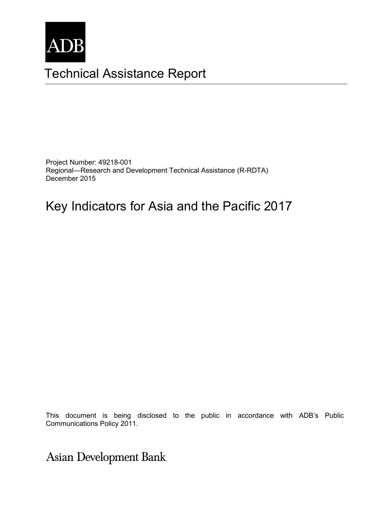

# Technical Assistance Report

Project Number: 49218-001 Regional—Research and Development Technical Assistance (R-RDTA) December 2015

# Key Indicators for Asia and the Pacific 2017

Communications Policy 2011. The consultant and do not necessarily represent those of ADB's of ADB's of ADB's of ADB's of ADB's of ADB's of ADB's of ADB's of ADB's of ADB's of ADB's of ADB's of ADB's of ADB's of ADB's of AD This document is being disclosed to the public in accordance with ADB's Public

**Asian Development Bank**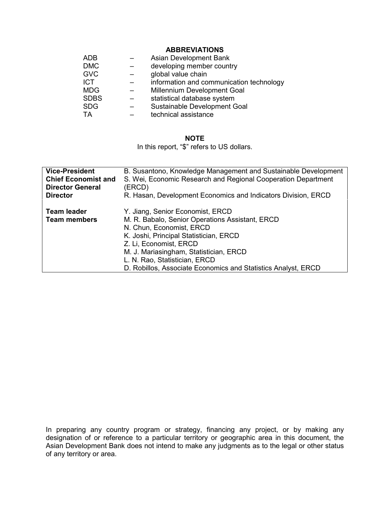#### **ABBREVIATIONS**

| <b>ADB</b>  | Asian Development Bank                   |
|-------------|------------------------------------------|
| <b>DMC</b>  | developing member country                |
| <b>GVC</b>  | global value chain                       |
| <b>ICT</b>  | information and communication technology |
| <b>MDG</b>  | Millennium Development Goal              |
| <b>SDBS</b> | statistical database system              |
| <b>SDG</b>  | Sustainable Development Goal             |
| ТA          | technical assistance                     |

## **NOTE**

In this report, "\$" refers to US dollars.

| <b>Vice-President</b>                     | B. Susantono, Knowledge Management and Sustainable Development                                                                                                                                                                                                                                                                  |
|-------------------------------------------|---------------------------------------------------------------------------------------------------------------------------------------------------------------------------------------------------------------------------------------------------------------------------------------------------------------------------------|
| <b>Chief Economist and</b>                | S. Wei, Economic Research and Regional Cooperation Department                                                                                                                                                                                                                                                                   |
| <b>Director General</b>                   | (ERCD)                                                                                                                                                                                                                                                                                                                          |
| <b>Director</b>                           | R. Hasan, Development Economics and Indicators Division, ERCD                                                                                                                                                                                                                                                                   |
| <b>Team leader</b><br><b>Team members</b> | Y. Jiang, Senior Economist, ERCD<br>M. R. Babalo, Senior Operations Assistant, ERCD<br>N. Chun, Economist, ERCD<br>K. Joshi, Principal Statistician, ERCD<br>Z. Li, Economist, ERCD<br>M. J. Mariasingham, Statistician, ERCD<br>L. N. Rao, Statistician, ERCD<br>D. Robillos, Associate Economics and Statistics Analyst, ERCD |

In preparing any country program or strategy, financing any project, or by making any designation of or reference to a particular territory or geographic area in this document, the Asian Development Bank does not intend to make any judgments as to the legal or other status of any territory or area.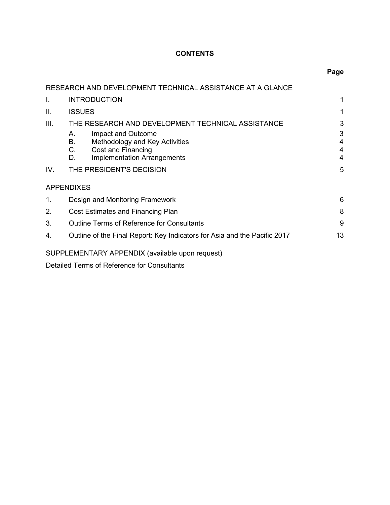# **CONTENTS**

**Page** 

|             | RESEARCH AND DEVELOPMENT TECHNICAL ASSISTANCE AT A GLANCE                                                                                |                  |  |  |
|-------------|------------------------------------------------------------------------------------------------------------------------------------------|------------------|--|--|
| L.          | <b>INTRODUCTION</b>                                                                                                                      |                  |  |  |
| II.         | <b>ISSUES</b>                                                                                                                            |                  |  |  |
| III.        | THE RESEARCH AND DEVELOPMENT TECHNICAL ASSISTANCE                                                                                        |                  |  |  |
|             | Impact and Outcome<br>Α.<br>Methodology and Key Activities<br>В.<br>Cost and Financing<br>C.<br><b>Implementation Arrangements</b><br>D. | 3<br>4<br>4<br>4 |  |  |
| IV.         | THE PRESIDENT'S DECISION                                                                                                                 | 5                |  |  |
|             | <b>APPENDIXES</b>                                                                                                                        |                  |  |  |
| $\mathbf 1$ | 6<br>Design and Monitoring Framework                                                                                                     |                  |  |  |
| 2.          | 8<br>Cost Estimates and Financing Plan                                                                                                   |                  |  |  |
| 3.          | <b>Outline Terms of Reference for Consultants</b><br>9                                                                                   |                  |  |  |
| 4.          | Outline of the Final Report: Key Indicators for Asia and the Pacific 2017                                                                | 13               |  |  |
|             | SUPPLEMENTARY APPENDIX (available upon request)                                                                                          |                  |  |  |
|             |                                                                                                                                          |                  |  |  |

Detailed Terms of Reference for Consultants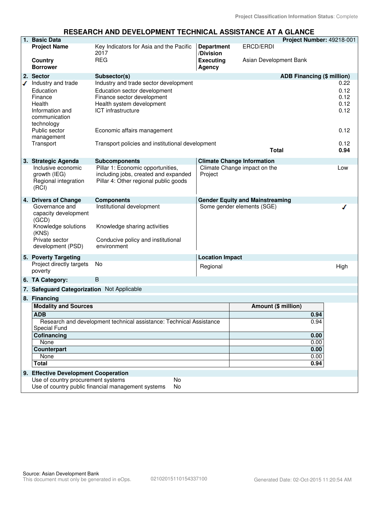#### **RESEARCH AND DEVELOPMENT TECHNICAL ASSISTANCE AT A GLANCE**

|      | 1. Basic Data                                                                                                          |                                                                                                                                                               |                                |                                        | Project Number: 49218-001         |                                      |
|------|------------------------------------------------------------------------------------------------------------------------|---------------------------------------------------------------------------------------------------------------------------------------------------------------|--------------------------------|----------------------------------------|-----------------------------------|--------------------------------------|
|      | <b>Project Name</b>                                                                                                    | Key Indicators for Asia and the Pacific<br>2017                                                                                                               | <b>Department</b><br>/Division | ERCD/ERDI                              |                                   |                                      |
|      | Country<br><b>Borrower</b>                                                                                             | <b>REG</b>                                                                                                                                                    | <b>Executing</b><br>Agency     | Asian Development Bank                 |                                   |                                      |
|      | 2. Sector                                                                                                              | Subsector(s)                                                                                                                                                  |                                |                                        | <b>ADB Financing (\$ million)</b> |                                      |
| ✔    | Industry and trade<br>Education<br>Finance<br>Health<br>Information and<br>communication<br>technology                 | Industry and trade sector development<br>Education sector development<br>Finance sector development<br>Health system development<br><b>ICT</b> infrastructure |                                |                                        |                                   | 0.22<br>0.12<br>0.12<br>0.12<br>0.12 |
|      | Public sector<br>management                                                                                            | Economic affairs management                                                                                                                                   |                                |                                        |                                   | 0.12                                 |
|      | Transport                                                                                                              | Transport policies and institutional development                                                                                                              |                                | <b>Total</b>                           |                                   | 0.12<br>0.94                         |
|      | 3. Strategic Agenda                                                                                                    | <b>Subcomponents</b>                                                                                                                                          |                                | <b>Climate Change Information</b>      |                                   |                                      |
|      | Inclusive economic<br>growth (IEG)<br>Regional integration<br>(RCI)                                                    | Pillar 1: Economic opportunities,<br>including jobs, created and expanded<br>Pillar 4: Other regional public goods                                            | Project                        | Climate Change impact on the           |                                   | Low                                  |
|      | 4. Drivers of Change                                                                                                   | <b>Components</b>                                                                                                                                             |                                | <b>Gender Equity and Mainstreaming</b> |                                   |                                      |
|      | Governance and<br>capacity development<br>(GCD)<br>Knowledge solutions<br>(KNS)<br>Private sector<br>development (PSD) | Institutional development<br>Knowledge sharing activities<br>Conducive policy and institutional<br>environment                                                |                                | Some gender elements (SGE)             |                                   |                                      |
|      | 5. Poverty Targeting                                                                                                   |                                                                                                                                                               | <b>Location Impact</b>         |                                        |                                   |                                      |
|      | Project directly targets<br>poverty                                                                                    | No                                                                                                                                                            | Regional                       |                                        |                                   | High                                 |
|      | 6. TA Category:                                                                                                        | B                                                                                                                                                             |                                |                                        |                                   |                                      |
|      | 7. Safeguard Categorization Not Applicable                                                                             |                                                                                                                                                               |                                |                                        |                                   |                                      |
|      | 8. Financing                                                                                                           |                                                                                                                                                               |                                |                                        |                                   |                                      |
|      | <b>Modality and Sources</b>                                                                                            |                                                                                                                                                               |                                | Amount (\$ million)                    |                                   |                                      |
|      | <b>ADB</b>                                                                                                             |                                                                                                                                                               |                                | 0.94                                   |                                   |                                      |
|      | <b>Special Fund</b>                                                                                                    | Research and development technical assistance: Technical Assistance                                                                                           |                                |                                        | 0.94                              |                                      |
|      | Cofinancing                                                                                                            |                                                                                                                                                               | 0.00                           |                                        |                                   |                                      |
|      | None<br><b>Counterpart</b>                                                                                             |                                                                                                                                                               |                                |                                        | 0.00                              |                                      |
|      |                                                                                                                        |                                                                                                                                                               |                                |                                        | 0.00                              |                                      |
| None |                                                                                                                        |                                                                                                                                                               |                                | 0.00                                   |                                   |                                      |
|      | <b>Total</b>                                                                                                           |                                                                                                                                                               |                                |                                        | 0.94                              |                                      |
|      | 9. Effective Development Cooperation                                                                                   |                                                                                                                                                               |                                |                                        |                                   |                                      |
|      | Use of country procurement systems                                                                                     | No<br>Use of country public financial management systems<br>No                                                                                                |                                |                                        |                                   |                                      |
|      |                                                                                                                        |                                                                                                                                                               |                                |                                        |                                   |                                      |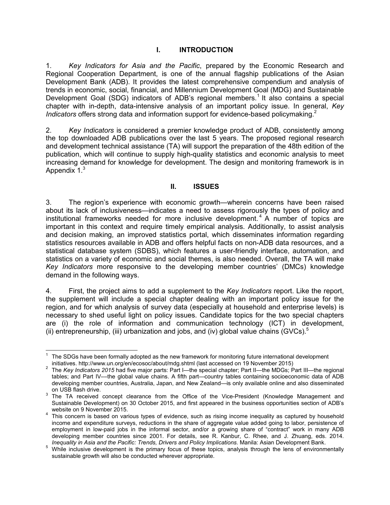## **I. INTRODUCTION**

1. *Key Indicators for Asia and the Pacific*, prepared by the Economic Research and Regional Cooperation Department, is one of the annual flagship publications of the Asian Development Bank (ADB). It provides the latest comprehensive compendium and analysis of trends in economic, social, financial, and Millennium Development Goal (MDG) and Sustainable Development Goal (SDG) indicators of ADB's regional members.<sup>1</sup> It also contains a special chapter with in-depth, data-intensive analysis of an important policy issue. In general, *Key Indicators* offers strong data and information support for evidence-based policymaking.<sup>2</sup>

2. *Key Indicators* is considered a premier knowledge product of ADB, consistently among the top downloaded ADB publications over the last 5 years. The proposed regional research and development technical assistance (TA) will support the preparation of the 48th edition of the publication, which will continue to supply high-quality statistics and economic analysis to meet increasing demand for knowledge for development. The design and monitoring framework is in Appendix 1.<sup>3</sup>

## **II. ISSUES**

3. The region's experience with economic growth—wherein concerns have been raised about its lack of inclusiveness—indicates a need to assess rigorously the types of policy and institutional frameworks needed for more inclusive development.<sup>4</sup> A number of topics are important in this context and require timely empirical analysis. Additionally, to assist analysis and decision making, an improved statistics portal, which disseminates information regarding statistics resources available in ADB and offers helpful facts on non-ADB data resources, and a statistical database system (SDBS), which features a user-friendly interface, automation, and statistics on a variety of economic and social themes, is also needed. Overall, the TA will make *Key Indicators* more responsive to the developing member countries' (DMCs) knowledge demand in the following ways.

4. First, the project aims to add a supplement to the *Key Indicators* report. Like the report, the supplement will include a special chapter dealing with an important policy issue for the region, and for which analysis of survey data (especially at household and enterprise levels) is necessary to shed useful light on policy issues. Candidate topics for the two special chapters are (i) the role of information and communication technology (ICT) in development, (ii) entrepreneurship, (iii) urbanization and jobs, and (iv) global value chains (GVCs).<sup>5</sup>

 $\overline{a}$ 1 The SDGs have been formally adopted as the new framework for monitoring future international development initiatives. http://www.un.org/en/ecosoc/about/mdg.shtml (last accessed on 19 November 2015)

<sup>2</sup> The *Key Indicators 2015* had five major parts: Part I—the special chapter; Part II—the MDGs; Part III—the regional tables; and Part IV––the global value chains. A fifth part—country tables containing socioeconomic data of ADB developing member countries, Australia, Japan, and New Zealand—is only available online and also disseminated on USB flash drive.

 $3$  The TA received concept clearance from the Office of the Vice-President (Knowledge Management and Sustainable Development) on 30 October 2015, and first appeared in the business opportunities section of ADB's

website on 9 November 2015. 4 This concern is based on various types of evidence, such as rising income inequality as captured by household income and expenditure surveys, reductions in the share of aggregate value added going to labor, persistence of employment in low-paid jobs in the informal sector, and/or a growing share of "contract" work in many ADB developing member countries since 2001. For details, see R. Kanbur, C. Rhee, and J. Zhuang, eds. 2014. *Inequality in Asia and the Pacific: Trends, Drivers and Policy Implications.* Manila: Asian Development Bank.

<sup>&</sup>lt;sup>5</sup> While inclusive development is the primary focus of these topics, analysis through the lens of environmentally sustainable growth will also be conducted wherever appropriate.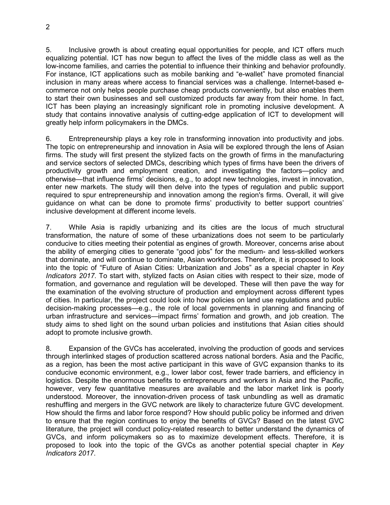5. Inclusive growth is about creating equal opportunities for people, and ICT offers much equalizing potential. ICT has now begun to affect the lives of the middle class as well as the low-income families, and carries the potential to influence their thinking and behavior profoundly. For instance, ICT applications such as mobile banking and "e-wallet" have promoted financial inclusion in many areas where access to financial services was a challenge. Internet-based ecommerce not only helps people purchase cheap products conveniently, but also enables them to start their own businesses and sell customized products far away from their home. In fact, ICT has been playing an increasingly significant role in promoting inclusive development. A study that contains innovative analysis of cutting-edge application of ICT to development will greatly help inform policymakers in the DMCs.

6. Entrepreneurship plays a key role in transforming innovation into productivity and jobs. The topic on entrepreneurship and innovation in Asia will be explored through the lens of Asian firms. The study will first present the stylized facts on the growth of firms in the manufacturing and service sectors of selected DMCs, describing which types of firms have been the drivers of productivity growth and employment creation, and investigating the factors—policy and otherwise—that influence firms' decisions, e.g., to adopt new technologies, invest in innovation, enter new markets. The study will then delve into the types of regulation and public support required to spur entrepreneurship and innovation among the region's firms. Overall, it will give guidance on what can be done to promote firms' productivity to better support countries' inclusive development at different income levels.

7. While Asia is rapidly urbanizing and its cities are the locus of much structural transformation, the nature of some of these urbanizations does not seem to be particularly conducive to cities meeting their potential as engines of growth. Moreover, concerns arise about the ability of emerging cities to generate "good jobs" for the medium- and less-skilled workers that dominate, and will continue to dominate, Asian workforces. Therefore, it is proposed to look into the topic of "Future of Asian Cities: Urbanization and Jobs" as a special chapter in *Key Indicators 2017*. To start with, stylized facts on Asian cities with respect to their size, mode of formation, and governance and regulation will be developed. These will then pave the way for the examination of the evolving structure of production and employment across different types of cities. In particular, the project could look into how policies on land use regulations and public decision-making processes—e.g., the role of local governments in planning and financing of urban infrastructure and services—impact firms' formation and growth, and job creation. The study aims to shed light on the sound urban policies and institutions that Asian cities should adopt to promote inclusive growth.

8. Expansion of the GVCs has accelerated, involving the production of goods and services through interlinked stages of production scattered across national borders. Asia and the Pacific, as a region, has been the most active participant in this wave of GVC expansion thanks to its conducive economic environment, e.g., lower labor cost, fewer trade barriers, and efficiency in logistics. Despite the enormous benefits to entrepreneurs and workers in Asia and the Pacific, however, very few quantitative measures are available and the labor market link is poorly understood. Moreover, the innovation-driven process of task unbundling as well as dramatic reshuffling and mergers in the GVC network are likely to characterize future GVC development. How should the firms and labor force respond? How should public policy be informed and driven to ensure that the region continues to enjoy the benefits of GVCs? Based on the latest GVC literature, the project will conduct policy-related research to better understand the dynamics of GVCs, and inform policymakers so as to maximize development effects. Therefore, it is proposed to look into the topic of the GVCs as another potential special chapter in *Key Indicators 2017*.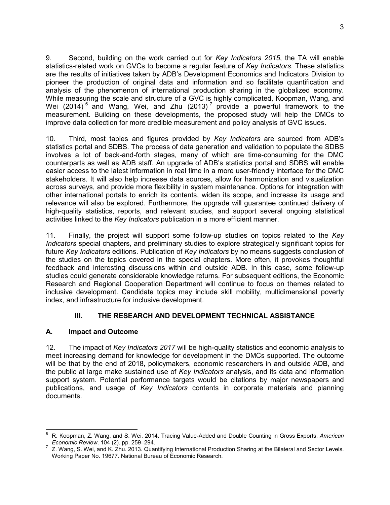9. Second, building on the work carried out for *Key Indicators 2015*, the TA will enable statistics-related work on GVCs to become a regular feature of *Key Indicators*. These statistics are the results of initiatives taken by ADB's Development Economics and Indicators Division to pioneer the production of original data and information and so facilitate quantification and analysis of the phenomenon of international production sharing in the globalized economy. While measuring the scale and structure of a GVC is highly complicated, Koopman, Wang, and Wei (2014)<sup>6</sup> and Wang, Wei, and Zhu (2013)<sup>7</sup> provide a powerful framework to the measurement. Building on these developments, the proposed study will help the DMCs to improve data collection for more credible measurement and policy analysis of GVC issues.

10. Third, most tables and figures provided by *Key Indicators* are sourced from ADB's statistics portal and SDBS. The process of data generation and validation to populate the SDBS involves a lot of back-and-forth stages, many of which are time-consuming for the DMC counterparts as well as ADB staff. An upgrade of ADB's statistics portal and SDBS will enable easier access to the latest information in real time in a more user-friendly interface for the DMC stakeholders. It will also help increase data sources, allow for harmonization and visualization across surveys, and provide more flexibility in system maintenance. Options for integration with other international portals to enrich its contents, widen its scope, and increase its usage and relevance will also be explored. Furthermore, the upgrade will guarantee continued delivery of high-quality statistics, reports, and relevant studies, and support several ongoing statistical activities linked to the *Key Indicators* publication in a more efficient manner.

11. Finally, the project will support some follow-up studies on topics related to the *Key Indicators* special chapters, and preliminary studies to explore strategically significant topics for future *Key Indicators* editions. Publication of *Key Indicators* by no means suggests conclusion of the studies on the topics covered in the special chapters. More often, it provokes thoughtful feedback and interesting discussions within and outside ADB. In this case, some follow-up studies could generate considerable knowledge returns. For subsequent editions, the Economic Research and Regional Cooperation Department will continue to focus on themes related to inclusive development. Candidate topics may include skill mobility, multidimensional poverty index, and infrastructure for inclusive development.

## **III. THE RESEARCH AND DEVELOPMENT TECHNICAL ASSISTANCE**

## **A. Impact and Outcome**

12. The impact of *Key Indicators 2017* will be high-quality statistics and economic analysis to meet increasing demand for knowledge for development in the DMCs supported. The outcome will be that by the end of 2018, policymakers, economic researchers in and outside ADB, and the public at large make sustained use of *Key Indicators* analysis, and its data and information support system. Potential performance targets would be citations by major newspapers and publications, and usage of *Key Indicators* contents in corporate materials and planning documents.

 $\overline{a}$ 6 R. Koopman, Z. Wang, and S. Wei. 2014. Tracing Value-Added and Double Counting in Gross Exports. *American Economic Review*. 104 (2). pp. 259–294.

<sup>7</sup> Z. Wang, S. Wei, and K. Zhu. 2013. Quantifying International Production Sharing at the Bilateral and Sector Levels. Working Paper No. 19677. National Bureau of Economic Research.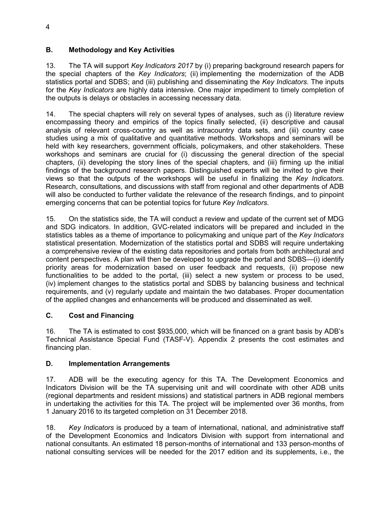# **B. Methodology and Key Activities**

13. The TA will support *Key Indicators 2017* by (i) preparing background research papers for the special chapters of the *Key Indicators*; (ii) implementing the modernization of the ADB statistics portal and SDBS; and (iii) publishing and disseminating the *Key Indicators*. The inputs for the *Key Indicators* are highly data intensive. One major impediment to timely completion of the outputs is delays or obstacles in accessing necessary data.

14. The special chapters will rely on several types of analyses, such as (i) literature review encompassing theory and empirics of the topics finally selected, (ii) descriptive and causal analysis of relevant cross-country as well as intracountry data sets, and (iii) country case studies using a mix of qualitative and quantitative methods. Workshops and seminars will be held with key researchers, government officials, policymakers, and other stakeholders. These workshops and seminars are crucial for (i) discussing the general direction of the special chapters, (ii) developing the story lines of the special chapters, and (iii) firming up the initial findings of the background research papers. Distinguished experts will be invited to give their views so that the outputs of the workshops will be useful in finalizing the *Key Indicators*. Research, consultations, and discussions with staff from regional and other departments of ADB will also be conducted to further validate the relevance of the research findings, and to pinpoint emerging concerns that can be potential topics for future *Key Indicators*.

15. On the statistics side, the TA will conduct a review and update of the current set of MDG and SDG indicators. In addition, GVC-related indicators will be prepared and included in the statistics tables as a theme of importance to policymaking and unique part of the *Key Indicators* statistical presentation. Modernization of the statistics portal and SDBS will require undertaking a comprehensive review of the existing data repositories and portals from both architectural and content perspectives. A plan will then be developed to upgrade the portal and SDBS—(i) identify priority areas for modernization based on user feedback and requests, (ii) propose new functionalities to be added to the portal, (iii) select a new system or process to be used, (iv) implement changes to the statistics portal and SDBS by balancing business and technical requirements, and (v) regularly update and maintain the two databases. Proper documentation of the applied changes and enhancements will be produced and disseminated as well.

# **C. Cost and Financing**

16. The TA is estimated to cost \$935,000, which will be financed on a grant basis by ADB's Technical Assistance Special Fund (TASF-V). Appendix 2 presents the cost estimates and financing plan.

# **D. Implementation Arrangements**

17. ADB will be the executing agency for this TA. The Development Economics and Indicators Division will be the TA supervising unit and will coordinate with other ADB units (regional departments and resident missions) and statistical partners in ADB regional members in undertaking the activities for this TA. The project will be implemented over 36 months, from 1 January 2016 to its targeted completion on 31 December 2018.

18. *Key Indicators* is produced by a team of international, national, and administrative staff of the Development Economics and Indicators Division with support from international and national consultants. An estimated 18 person-months of international and 133 person-months of national consulting services will be needed for the 2017 edition and its supplements, i.e., the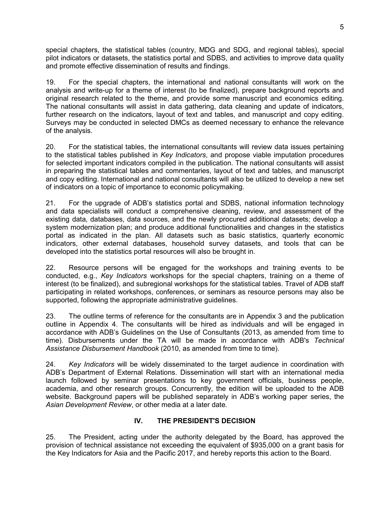special chapters, the statistical tables (country, MDG and SDG, and regional tables), special pilot indicators or datasets, the statistics portal and SDBS, and activities to improve data quality and promote effective dissemination of results and findings.

19. For the special chapters, the international and national consultants will work on the analysis and write-up for a theme of interest (to be finalized), prepare background reports and original research related to the theme, and provide some manuscript and economics editing. The national consultants will assist in data gathering, data cleaning and update of indicators, further research on the indicators, layout of text and tables, and manuscript and copy editing. Surveys may be conducted in selected DMCs as deemed necessary to enhance the relevance of the analysis.

20. For the statistical tables, the international consultants will review data issues pertaining to the statistical tables published in *Key Indicators*, and propose viable imputation procedures for selected important indicators compiled in the publication. The national consultants will assist in preparing the statistical tables and commentaries, layout of text and tables, and manuscript and copy editing. International and national consultants will also be utilized to develop a new set of indicators on a topic of importance to economic policymaking.

21. For the upgrade of ADB's statistics portal and SDBS, national information technology and data specialists will conduct a comprehensive cleaning, review, and assessment of the existing data, databases, data sources, and the newly procured additional datasets; develop a system modernization plan; and produce additional functionalities and changes in the statistics portal as indicated in the plan. All datasets such as basic statistics, quarterly economic indicators, other external databases, household survey datasets, and tools that can be developed into the statistics portal resources will also be brought in.

22. Resource persons will be engaged for the workshops and training events to be conducted, e.g., *Key Indicators* workshops for the special chapters, training on a theme of interest (to be finalized), and subregional workshops for the statistical tables. Travel of ADB staff participating in related workshops, conferences, or seminars as resource persons may also be supported, following the appropriate administrative guidelines.

23. The outline terms of reference for the consultants are in Appendix 3 and the publication outline in Appendix 4. The consultants will be hired as individuals and will be engaged in accordance with ADB's Guidelines on the Use of Consultants (2013, as amended from time to time). Disbursements under the TA will be made in accordance with ADB's *Technical Assistance Disbursement Handbook* (2010, as amended from time to time).

24. *Key Indicators* will be widely disseminated to the target audience in coordination with ADB's Department of External Relations. Dissemination will start with an international media launch followed by seminar presentations to key government officials, business people, academia, and other research groups. Concurrently, the edition will be uploaded to the ADB website. Background papers will be published separately in ADB's working paper series, the *Asian Development Review*, or other media at a later date.

# **IV. THE PRESIDENT'S DECISION**

25. The President, acting under the authority delegated by the Board, has approved the provision of technical assistance not exceeding the equivalent of \$935,000 on a grant basis for the Key Indicators for Asia and the Pacific 2017, and hereby reports this action to the Board.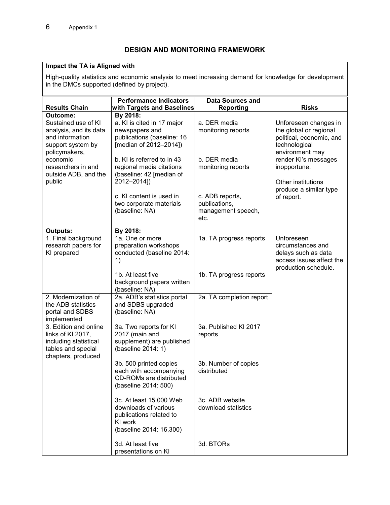# **DESIGN AND MONITORING FRAMEWORK**

#### **Impact the TA is Aligned with**

High-quality statistics and economic analysis to meet increasing demand for knowledge for development in the DMCs supported (defined by project).

|                                                                                                                 | <b>Performance Indicators</b><br><b>Data Sources and</b>                                                         |                                                                |                                                                                                            |  |
|-----------------------------------------------------------------------------------------------------------------|------------------------------------------------------------------------------------------------------------------|----------------------------------------------------------------|------------------------------------------------------------------------------------------------------------|--|
| <b>Results Chain</b>                                                                                            | with Targets and Baselines                                                                                       | <b>Reporting</b>                                               | <b>Risks</b>                                                                                               |  |
| Outcome:<br>Sustained use of KI<br>analysis, and its data<br>and information<br>support system by               | By 2018:<br>a. KI is cited in 17 major<br>newspapers and<br>publications (baseline: 16<br>[median of 2012-2014]) | a. DER media<br>monitoring reports                             | Unforeseen changes in<br>the global or regional<br>political, economic, and<br>technological               |  |
| policymakers,<br>economic<br>researchers in and<br>outside ADB, and the<br>public                               | b. KI is referred to in 43<br>regional media citations<br>(baseline: 42 [median of<br>2012-2014])                | b. DER media<br>monitoring reports                             | environment may<br>render KI's messages<br>inopportune.<br>Other institutions<br>produce a similar type    |  |
|                                                                                                                 | c. KI content is used in<br>two corporate materials<br>(baseline: NA)                                            | c. ADB reports,<br>publications,<br>management speech,<br>etc. | of report.                                                                                                 |  |
| <b>Outputs:</b><br>1. Final background<br>research papers for<br>KI prepared                                    | By 2018:<br>1a. One or more<br>preparation workshops<br>conducted (baseline 2014:<br>1)                          | 1a. TA progress reports                                        | Unforeseen<br>circumstances and<br>delays such as data<br>access issues affect the<br>production schedule. |  |
|                                                                                                                 | 1b. At least five<br>background papers written<br>(baseline: NA)                                                 | 1b. TA progress reports                                        |                                                                                                            |  |
| 2. Modernization of<br>the ADB statistics<br>portal and SDBS<br>implemented                                     | 2a. ADB's statistics portal<br>and SDBS upgraded<br>(baseline: NA)                                               | 2a. TA completion report                                       |                                                                                                            |  |
| 3. Edition and online<br>links of KI 2017,<br>including statistical<br>tables and special<br>chapters, produced | 3a. Two reports for KI<br>2017 (main and<br>supplement) are published<br>(baseline 2014: 1)                      | 3a. Published KI 2017<br>reports                               |                                                                                                            |  |
|                                                                                                                 | 3b. 500 printed copies<br>each with accompanying<br>CD-ROMs are distributed<br>(baseline 2014: 500)              | 3b. Number of copies<br>distributed                            |                                                                                                            |  |
|                                                                                                                 | 3c. At least 15,000 Web<br>downloads of various<br>publications related to<br>KI work<br>(baseline 2014: 16,300) | 3c. ADB website<br>download statistics                         |                                                                                                            |  |
|                                                                                                                 | 3d. At least five<br>presentations on KI                                                                         | 3d. BTORs                                                      |                                                                                                            |  |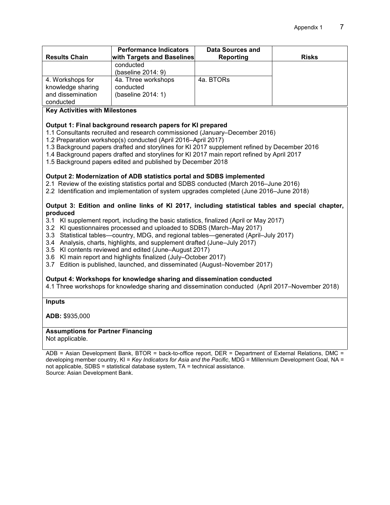| <b>Results Chain</b>                                                    | <b>Performance Indicators</b><br><b>with Targets and Baselines</b> | Data Sources and<br><b>Reporting</b> | <b>Risks</b> |
|-------------------------------------------------------------------------|--------------------------------------------------------------------|--------------------------------------|--------------|
|                                                                         | conducted<br>(baseline 2014: 9)                                    |                                      |              |
| 4. Workshops for<br>knowledge sharing<br>and dissemination<br>conducted | 4a. Three workshops<br>conducted<br>(baseline 2014: 1)             | 4a. BTORs                            |              |

#### **Key Activities with Milestones**

#### **Output 1: Final background research papers for KI prepared**

- 1.1 Consultants recruited and research commissioned (January–December 2016)
- 1.2 Preparation workshop(s) conducted (April 2016–April 2017)
- 1.3 Background papers drafted and storylines for KI 2017 supplement refined by December 2016
- 1.4 Background papers drafted and storylines for KI 2017 main report refined by April 2017
- 1.5 Background papers edited and published by December 2018

#### **Output 2: Modernization of ADB statistics portal and SDBS implemented**

- 2.1 Review of the existing statistics portal and SDBS conducted (March 2016–June 2016)
- 2.2 Identification and implementation of system upgrades completed (June 2016–June 2018)

#### **Output 3: Edition and online links of KI 2017, including statistical tables and special chapter, produced**

- 3.1 KI supplement report, including the basic statistics, finalized (April or May 2017)
- 3.2 KI questionnaires processed and uploaded to SDBS (March–May 2017)
- 3.3 Statistical tables—country, MDG, and regional tables—generated (April–July 2017)
- 3.4 Analysis, charts, highlights, and supplement drafted (June–July 2017)
- 3.5 KI contents reviewed and edited (June–August 2017)
- 3.6 KI main report and highlights finalized (July–October 2017)
- 3.7 Edition is published, launched, and disseminated (August–November 2017)

#### **Output 4: Workshops for knowledge sharing and dissemination conducted**

4.1 Three workshops for knowledge sharing and dissemination conducted (April 2017–November 2018)

#### **Inputs**

**ADB:** \$935,000

#### **Assumptions for Partner Financing**

Not applicable.

ADB = Asian Development Bank, BTOR = back-to-office report, DER = Department of External Relations, DMC = developing member country, KI = *Key Indicators for Asia and the Pacific*, MDG = Millennium Development Goal, NA = not applicable, SDBS = statistical database system, TA = technical assistance. Source: Asian Development Bank.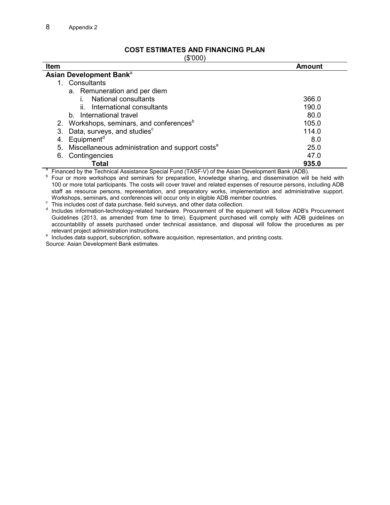## **COST ESTIMATES AND FINANCING PLAN**

(\$'000)

| $\sqrt{\Psi}$ over<br><b>Item</b>                                                               | <b>Amount</b> |
|-------------------------------------------------------------------------------------------------|---------------|
| Asian Development Bank <sup>a</sup>                                                             |               |
| 1. Consultants                                                                                  |               |
| a. Remuneration and per diem                                                                    |               |
| National consultants                                                                            | 366.0         |
| International consultants<br>II.                                                                | 190.0         |
| b. International travel                                                                         | 80.0          |
| Workshops, seminars, and conferences <sup>b</sup><br>2.                                         | 105.0         |
| Data, surveys, and studies <sup>c</sup><br>3.                                                   | 114.0         |
| Equipment <sup>d</sup><br>4.                                                                    | 8.0           |
| 5.<br>Miscellaneous administration and support costs <sup>e</sup>                               | 25.0          |
| Contingencies<br>6.                                                                             | 47.0          |
| Total                                                                                           | 935.0         |
| Financed by the Technical Assistance Special Fund (TASF-V) of the Asian Development Bank (ADB). |               |

b Four or more workshops and seminars for preparation, knowledge sharing, and dissemination will be held with 100 or more total participants. The costs will cover travel and related expenses of resource persons, including ADB staff as resource persons, representation, and preparatory works, implementation and administrative support. Workshops, seminars, and conferences will occur only in eligible ADB member countries.

construction of data purchase, field surveys, and other data collection.<br>
<sup>d</sup> Includes information technology related bardware. Procurement of the equ

Includes information-technology-related hardware. Procurement of the equipment will follow ADB's Procurement Guidelines (2013, as amended from time to time). Equipment purchased will comply with ADB guidelines on accountability of assets purchased under technical assistance, and disposal will follow the procedures as per relevant project administration instructions.

 $e$  Includes data support, subscription, software acquisition, representation, and printing costs. Source: Asian Development Bank estimates.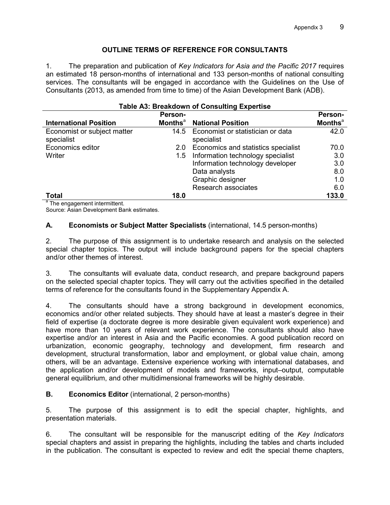# **OUTLINE TERMS OF REFERENCE FOR CONSULTANTS**

1. The preparation and publication of *Key Indicators for Asia and the Pacific 2017* requires an estimated 18 person-months of international and 133 person-months of national consulting services. The consultants will be engaged in accordance with the Guidelines on the Use of Consultants (2013, as amended from time to time) of the Asian Development Bank (ADB).

| Table A3: Breakdown of Consulting Expertise                      |                            |                                                 |                            |  |  |
|------------------------------------------------------------------|----------------------------|-------------------------------------------------|----------------------------|--|--|
|                                                                  | <b>Person-</b>             |                                                 | Person-                    |  |  |
| <b>International Position</b>                                    | <b>Months</b> <sup>a</sup> | <b>National Position</b>                        | <b>Months</b> <sup>a</sup> |  |  |
| Economist or subject matter<br>specialist                        | 14.5                       | Economist or statistician or data<br>specialist | 42.0                       |  |  |
| Economics editor                                                 | 2.0                        | Economics and statistics specialist             | 70.0                       |  |  |
| Writer                                                           | 1.5                        | Information technology specialist               | 3.0                        |  |  |
|                                                                  |                            | Information technology developer                | 3.0                        |  |  |
|                                                                  |                            | Data analysts                                   | 8.0                        |  |  |
|                                                                  |                            | Graphic designer                                | 1.0                        |  |  |
|                                                                  |                            | Research associates                             | 6.0                        |  |  |
| <b>Total</b><br>$\frac{a_{\text{The}}}{a_{\text{The}}}\approx 1$ | 18.0                       |                                                 | 133.0                      |  |  |

# **Table A3: Breakdown of Consulting Expertise**

The engagement intermittent.

Source: Asian Development Bank estimates.

## **A. Economists or Subject Matter Specialists** (international, 14.5 person-months)

2. The purpose of this assignment is to undertake research and analysis on the selected special chapter topics. The output will include background papers for the special chapters and/or other themes of interest.

3. The consultants will evaluate data, conduct research, and prepare background papers on the selected special chapter topics. They will carry out the activities specified in the detailed terms of reference for the consultants found in the Supplementary Appendix A.

4. The consultants should have a strong background in development economics, economics and/or other related subjects. They should have at least a master's degree in their field of expertise (a doctorate degree is more desirable given equivalent work experience) and have more than 10 years of relevant work experience. The consultants should also have expertise and/or an interest in Asia and the Pacific economies. A good publication record on urbanization, economic geography, technology and development, firm research and development, structural transformation, labor and employment, or global value chain, among others, will be an advantage. Extensive experience working with international databases, and the application and/or development of models and frameworks, input–output, computable general equilibrium, and other multidimensional frameworks will be highly desirable.

## **B.** Economics Editor (international, 2 person-months)

5. The purpose of this assignment is to edit the special chapter, highlights, and presentation materials.

6. The consultant will be responsible for the manuscript editing of the *Key Indicators* special chapters and assist in preparing the highlights, including the tables and charts included in the publication. The consultant is expected to review and edit the special theme chapters,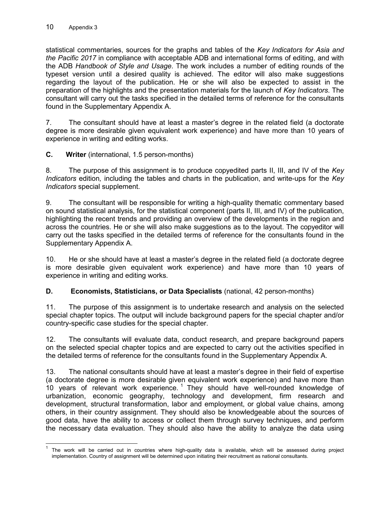statistical commentaries, sources for the graphs and tables of the *Key Indicators for Asia and the Pacific 2017* in compliance with acceptable ADB and international forms of editing, and with the ADB *Handbook of Style and Usage*. The work includes a number of editing rounds of the typeset version until a desired quality is achieved. The editor will also make suggestions regarding the layout of the publication. He or she will also be expected to assist in the preparation of the highlights and the presentation materials for the launch of *Key Indicators*. The consultant will carry out the tasks specified in the detailed terms of reference for the consultants found in the Supplementary Appendix A.

7. The consultant should have at least a master's degree in the related field (a doctorate degree is more desirable given equivalent work experience) and have more than 10 years of experience in writing and editing works.

**C. Writer** (international, 1.5 person-months)

8. The purpose of this assignment is to produce copyedited parts II, III, and IV of the *Key Indicators* edition*,* including the tables and charts in the publication, and write-ups for the *Key Indicators* special supplement.

9. The consultant will be responsible for writing a high-quality thematic commentary based on sound statistical analysis, for the statistical component (parts II, III, and IV) of the publication, highlighting the recent trends and providing an overview of the developments in the region and across the countries. He or she will also make suggestions as to the layout. The copyeditor will carry out the tasks specified in the detailed terms of reference for the consultants found in the Supplementary Appendix A.

10. He or she should have at least a master's degree in the related field (a doctorate degree is more desirable given equivalent work experience) and have more than 10 years of experience in writing and editing works*.*

## **D. Economists, Statisticians, or Data Specialists** (national, 42 person-months)

11. The purpose of this assignment is to undertake research and analysis on the selected special chapter topics. The output will include background papers for the special chapter and/or country-specific case studies for the special chapter.

12. The consultants will evaluate data, conduct research, and prepare background papers on the selected special chapter topics and are expected to carry out the activities specified in the detailed terms of reference for the consultants found in the Supplementary Appendix A.

13. The national consultants should have at least a master's degree in their field of expertise (a doctorate degree is more desirable given equivalent work experience) and have more than 10 years of relevant work experience.<sup>1</sup> They should have well-rounded knowledge of urbanization, economic geography, technology and development, firm research and development, structural transformation, labor and employment, or global value chains, among others, in their country assignment. They should also be knowledgeable about the sources of good data, have the ability to access or collect them through survey techniques, and perform the necessary data evaluation. They should also have the ability to analyze the data using

 $\overline{a}$ 1 The work will be carried out in countries where high-quality data is available, which will be assessed during project implementation. Country of assignment will be determined upon initiating their recruitment as national consultants.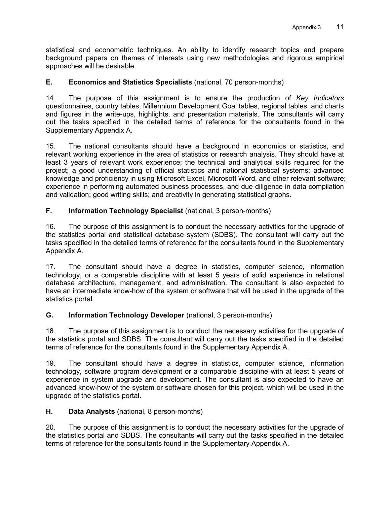statistical and econometric techniques. An ability to identify research topics and prepare background papers on themes of interests using new methodologies and rigorous empirical approaches will be desirable.

# **E. Economics and Statistics Specialists** (national, 70 person-months)

14. The purpose of this assignment is to ensure the production of *Key Indicators*  questionnaires, country tables, Millennium Development Goal tables, regional tables, and charts and figures in the write-ups, highlights, and presentation materials. The consultants will carry out the tasks specified in the detailed terms of reference for the consultants found in the Supplementary Appendix A.

15. The national consultants should have a background in economics or statistics, and relevant working experience in the area of statistics or research analysis. They should have at least 3 years of relevant work experience; the technical and analytical skills required for the project; a good understanding of official statistics and national statistical systems; advanced knowledge and proficiency in using Microsoft Excel, Microsoft Word, and other relevant software; experience in performing automated business processes, and due diligence in data compilation and validation; good writing skills; and creativity in generating statistical graphs.

## **F. Information Technology Specialist** (national, 3 person-months)

16. The purpose of this assignment is to conduct the necessary activities for the upgrade of the statistics portal and statistical database system (SDBS). The consultant will carry out the tasks specified in the detailed terms of reference for the consultants found in the Supplementary Appendix A.

17. The consultant should have a degree in statistics, computer science, information technology, or a comparable discipline with at least 5 years of solid experience in relational database architecture, management, and administration. The consultant is also expected to have an intermediate know-how of the system or software that will be used in the upgrade of the statistics portal.

# **G. Information Technology Developer** (national, 3 person-months)

18. The purpose of this assignment is to conduct the necessary activities for the upgrade of the statistics portal and SDBS. The consultant will carry out the tasks specified in the detailed terms of reference for the consultants found in the Supplementary Appendix A.

19. The consultant should have a degree in statistics, computer science, information technology, software program development or a comparable discipline with at least 5 years of experience in system upgrade and development. The consultant is also expected to have an advanced know-how of the system or software chosen for this project, which will be used in the upgrade of the statistics portal.

## **H. Data Analysts** (national, 8 person-months)

20. The purpose of this assignment is to conduct the necessary activities for the upgrade of the statistics portal and SDBS. The consultants will carry out the tasks specified in the detailed terms of reference for the consultants found in the Supplementary Appendix A.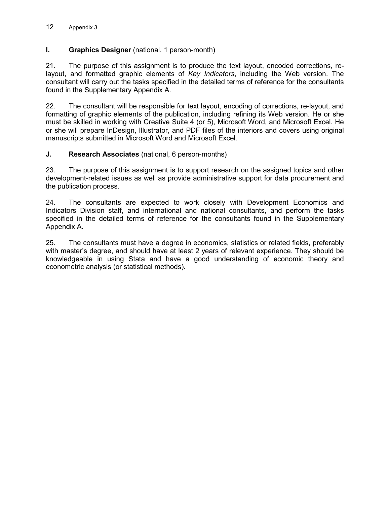#### 12 Appendix 3

# **I.** Graphics Designer (national, 1 person-month)

21. The purpose of this assignment is to produce the text layout, encoded corrections, relayout, and formatted graphic elements of *Key Indicators*, including the Web version. The consultant will carry out the tasks specified in the detailed terms of reference for the consultants found in the Supplementary Appendix A.

22. The consultant will be responsible for text layout, encoding of corrections, re-layout, and formatting of graphic elements of the publication, including refining its Web version. He or she must be skilled in working with Creative Suite 4 (or 5), Microsoft Word, and Microsoft Excel. He or she will prepare InDesign, Illustrator, and PDF files of the interiors and covers using original manuscripts submitted in Microsoft Word and Microsoft Excel.

## **J. Research Associates** (national, 6 person-months)

23. The purpose of this assignment is to support research on the assigned topics and other development-related issues as well as provide administrative support for data procurement and the publication process.

24. The consultants are expected to work closely with Development Economics and Indicators Division staff, and international and national consultants, and perform the tasks specified in the detailed terms of reference for the consultants found in the Supplementary Appendix A.

25. The consultants must have a degree in economics, statistics or related fields, preferably with master's degree, and should have at least 2 years of relevant experience. They should be knowledgeable in using Stata and have a good understanding of economic theory and econometric analysis (or statistical methods).